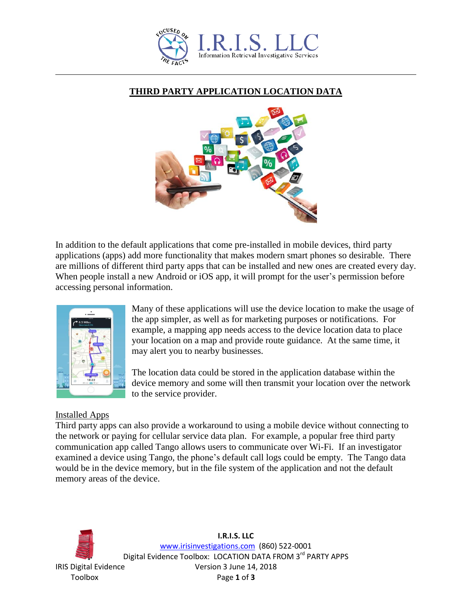

## **THIRD PARTY APPLICATION LOCATION DATA**



In addition to the default applications that come pre-installed in mobile devices, third party applications (apps) add more functionality that makes modern smart phones so desirable. There are millions of different third party apps that can be installed and new ones are created every day. When people install a new Android or iOS app, it will prompt for the user's permission before accessing personal information.



Many of these applications will use the device location to make the usage of the app simpler, as well as for marketing purposes or notifications. For example, a mapping app needs access to the device location data to place your location on a map and provide route guidance. At the same time, it may alert you to nearby businesses.

The location data could be stored in the application database within the device memory and some will then transmit your location over the network to the service provider.

## Installed Apps

Third party apps can also provide a workaround to using a mobile device without connecting to the network or paying for cellular service data plan. For example, a popular free third party communication app called Tango allows users to communicate over Wi-Fi. If an investigator examined a device using Tango, the phone's default call logs could be empty. The Tango data would be in the device memory, but in the file system of the application and not the default memory areas of the device.



**I.R.I.S. LLC** www.irisinvestigations.com (860) 522-0001 Digital Evidence Toolbox: LOCATION DATA FROM 3rd PARTY APPS IRIS Digital Evidence Version 3 June 14, 2018 Toolbox Page **1** of **3**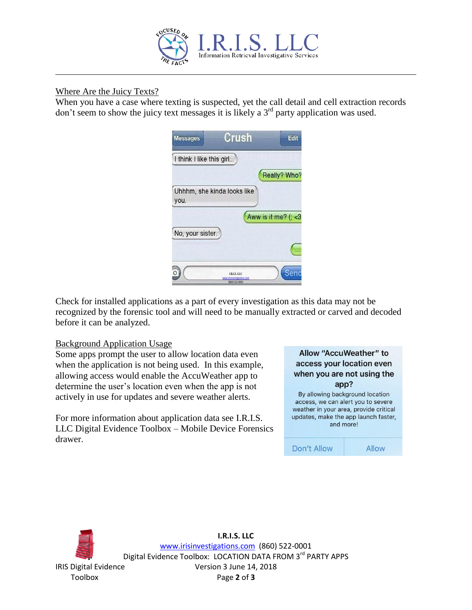

### Where Are the Juicy Texts?

When you have a case where texting is suspected, yet the call detail and cell extraction records don't seem to show the juicy text messages it is likely a  $3<sup>rd</sup>$  party application was used.

| <b>Messages</b>          | Crush                                                       | Edit                  |
|--------------------------|-------------------------------------------------------------|-----------------------|
| I think I like this girl |                                                             |                       |
|                          |                                                             | Really? Who?          |
| you.                     | Uhhhm, she kinda looks like                                 |                       |
| martin di marti          |                                                             | Aww is it me? $($ < 3 |
| No, your sister.         |                                                             |                       |
|                          |                                                             |                       |
|                          | <b>LR.LS.LLC</b><br>insinvestigations.com<br>(860) 522-0001 |                       |

Check for installed applications as a part of every investigation as this data may not be recognized by the forensic tool and will need to be manually extracted or carved and decoded before it can be analyzed.

#### Background Application Usage

Some apps prompt the user to allow location data even when the application is not being used. In this example, allowing access would enable the AccuWeather app to determine the user's location even when the app is not actively in use for updates and severe weather alerts.

For more information about application data see I.R.I.S. LLC Digital Evidence Toolbox – Mobile Device Forensics drawer.

| Allow "AccuWeather" to                 |  |  |
|----------------------------------------|--|--|
| access your location even              |  |  |
| when you are not using the             |  |  |
| app?                                   |  |  |
| By allowing background location        |  |  |
| access, we can alert you to severe     |  |  |
| weather in your area, provide critical |  |  |
| updates, make the app launch faster,   |  |  |
| and more!                              |  |  |
|                                        |  |  |
|                                        |  |  |

Don't Allow

Allow